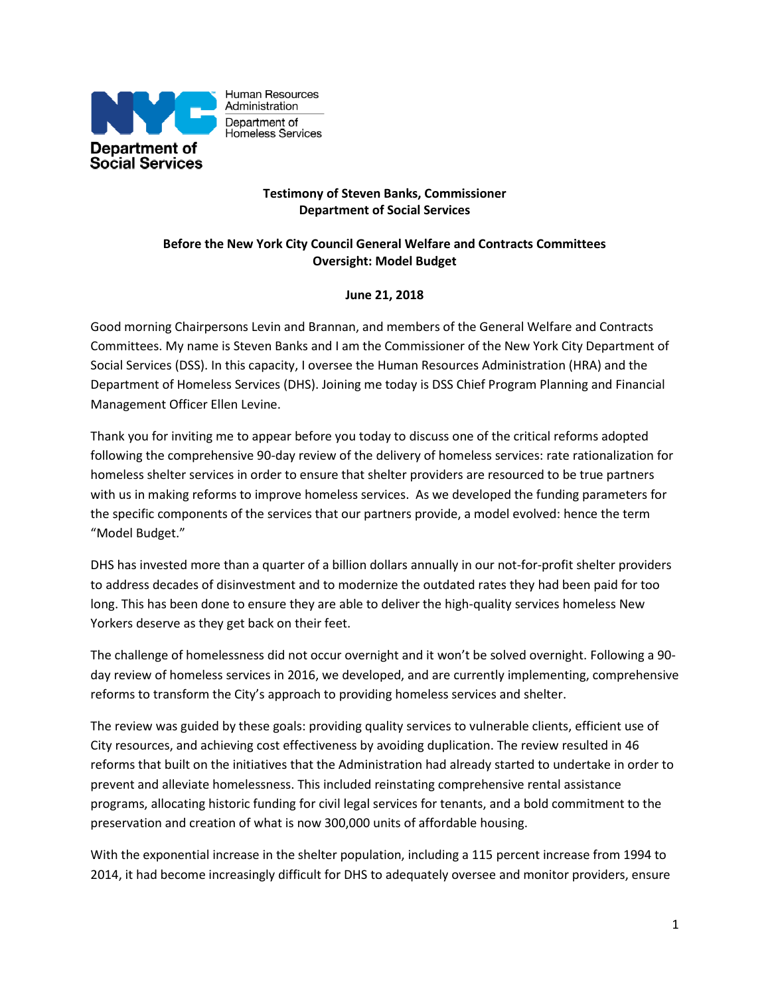

Human Resources Administration Department of Homeless Services

## **Testimony of Steven Banks, Commissioner Department of Social Services**

## **Before the New York City Council General Welfare and Contracts Committees Oversight: Model Budget**

## **June 21, 2018**

Good morning Chairpersons Levin and Brannan, and members of the General Welfare and Contracts Committees. My name is Steven Banks and I am the Commissioner of the New York City Department of Social Services (DSS). In this capacity, I oversee the Human Resources Administration (HRA) and the Department of Homeless Services (DHS). Joining me today is DSS Chief Program Planning and Financial Management Officer Ellen Levine.

Thank you for inviting me to appear before you today to discuss one of the critical reforms adopted following the comprehensive 90-day review of the delivery of homeless services: rate rationalization for homeless shelter services in order to ensure that shelter providers are resourced to be true partners with us in making reforms to improve homeless services. As we developed the funding parameters for the specific components of the services that our partners provide, a model evolved: hence the term "Model Budget."

DHS has invested more than a quarter of a billion dollars annually in our not-for-profit shelter providers to address decades of disinvestment and to modernize the outdated rates they had been paid for too long. This has been done to ensure they are able to deliver the high-quality services homeless New Yorkers deserve as they get back on their feet.

The challenge of homelessness did not occur overnight and it won't be solved overnight. Following a 90 day review of homeless services in 2016, we developed, and are currently implementing, comprehensive reforms to transform the City's approach to providing homeless services and shelter.

The review was guided by these goals: providing quality services to vulnerable clients, efficient use of City resources, and achieving cost effectiveness by avoiding duplication. The review resulted in 46 reforms that built on the initiatives that the Administration had already started to undertake in order to prevent and alleviate homelessness. This included reinstating comprehensive rental assistance programs, allocating historic funding for civil legal services for tenants, and a bold commitment to the preservation and creation of what is now 300,000 units of affordable housing.

With the exponential increase in the shelter population, including a 115 percent increase from 1994 to 2014, it had become increasingly difficult for DHS to adequately oversee and monitor providers, ensure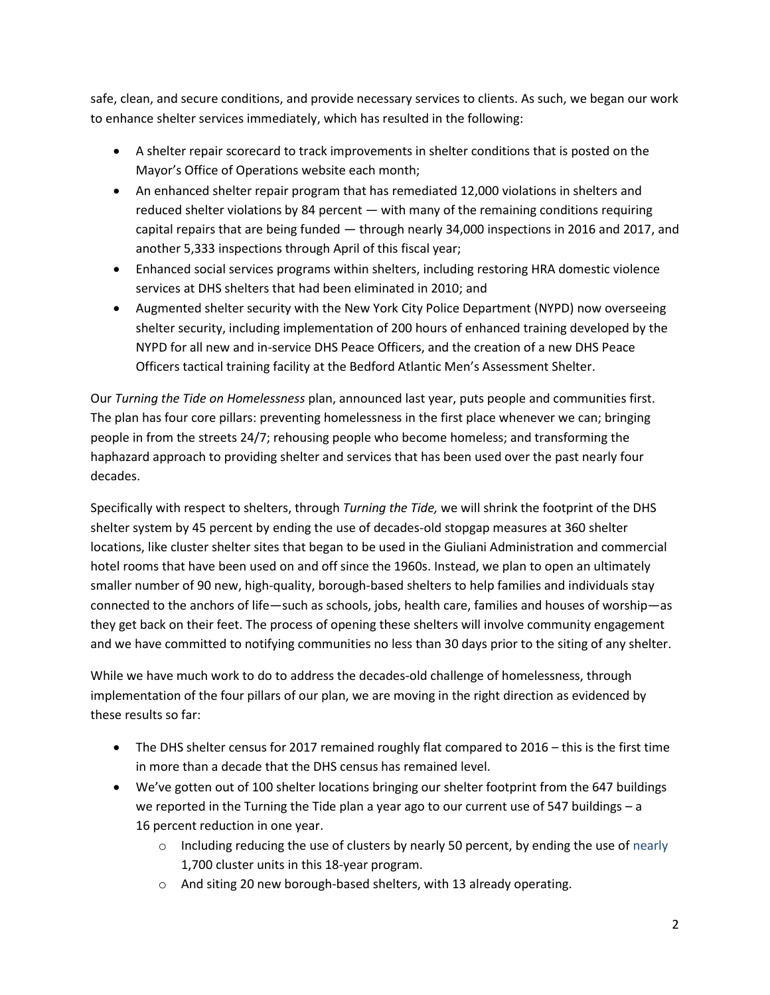safe, clean, and secure conditions, and provide necessary services to clients. As such, we began our work to enhance shelter services immediately, which has resulted in the following:

- A shelter repair scorecard to track improvements in shelter conditions that is posted on the Mayor's Office of Operations website each month;
- An enhanced shelter repair program that has remediated 12,000 violations in shelters and reduced shelter violations by 84 percent — with many of the remaining conditions requiring capital repairs that are being funded — through nearly 34,000 inspections in 2016 and 2017, and another 5,333 inspections through April of this fiscal year;
- Enhanced social services programs within shelters, including restoring HRA domestic violence services at DHS shelters that had been eliminated in 2010; and
- Augmented shelter security with the New York City Police Department (NYPD) now overseeing shelter security, including implementation of 200 hours of enhanced training developed by the NYPD for all new and in-service DHS Peace Officers, and the creation of a new DHS Peace Officers tactical training facility at the Bedford Atlantic Men's Assessment Shelter.

Our *Turning the Tide on Homelessness* plan, announced last year, puts people and communities first. The plan has four core pillars: preventing homelessness in the first place whenever we can; bringing people in from the streets 24/7; rehousing people who become homeless; and transforming the haphazard approach to providing shelter and services that has been used over the past nearly four decades.

Specifically with respect to shelters, through *Turning the Tide,* we will shrink the footprint of the DHS shelter system by 45 percent by ending the use of decades-old stopgap measures at 360 shelter locations, like cluster shelter sites that began to be used in the Giuliani Administration and commercial hotel rooms that have been used on and off since the 1960s. Instead, we plan to open an ultimately smaller number of 90 new, high-quality, borough-based shelters to help families and individuals stay connected to the anchors of life—such as schools, jobs, health care, families and houses of worship—as they get back on their feet. The process of opening these shelters will involve community engagement and we have committed to notifying communities no less than 30 days prior to the siting of any shelter.

While we have much work to do to address the decades-old challenge of homelessness, through implementation of the four pillars of our plan, we are moving in the right direction as evidenced by these results so far:

- The DHS shelter census for 2017 remained roughly flat compared to 2016 this is the first time in more than a decade that the DHS census has remained level.
- We've gotten out of 100 shelter locations bringing our shelter footprint from the 647 buildings we reported in the Turning the Tide plan a year ago to our current use of 547 buildings – a 16 percent reduction in one year.
	- $\circ$  Including reducing the use of clusters by nearly 50 percent, by ending the use of nearly 1,700 cluster units in this 18-year program.
	- o And siting 20 new borough-based shelters, with 13 already operating.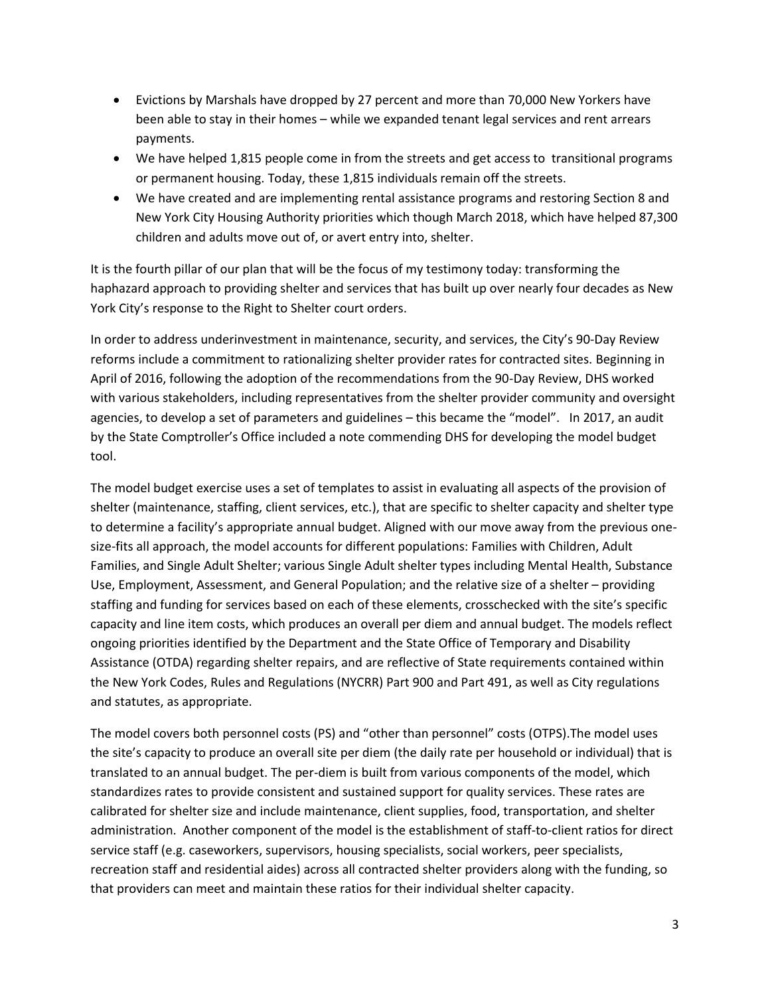- Evictions by Marshals have dropped by 27 percent and more than 70,000 New Yorkers have been able to stay in their homes – while we expanded tenant legal services and rent arrears payments.
- We have helped 1,815 people come in from the streets and get access to transitional programs or permanent housing. Today, these 1,815 individuals remain off the streets.
- We have created and are implementing rental assistance programs and restoring Section 8 and New York City Housing Authority priorities which though March 2018, which have helped 87,300 children and adults move out of, or avert entry into, shelter.

It is the fourth pillar of our plan that will be the focus of my testimony today: transforming the haphazard approach to providing shelter and services that has built up over nearly four decades as New York City's response to the Right to Shelter court orders.

In order to address underinvestment in maintenance, security, and services, the City's 90-Day Review reforms include a commitment to rationalizing shelter provider rates for contracted sites. Beginning in April of 2016, following the adoption of the recommendations from the 90-Day Review, DHS worked with various stakeholders, including representatives from the shelter provider community and oversight agencies, to develop a set of parameters and guidelines – this became the "model". In 2017, an audit by the State Comptroller's Office included a note commending DHS for developing the model budget tool.

The model budget exercise uses a set of templates to assist in evaluating all aspects of the provision of shelter (maintenance, staffing, client services, etc.), that are specific to shelter capacity and shelter type to determine a facility's appropriate annual budget. Aligned with our move away from the previous onesize-fits all approach, the model accounts for different populations: Families with Children, Adult Families, and Single Adult Shelter; various Single Adult shelter types including Mental Health, Substance Use, Employment, Assessment, and General Population; and the relative size of a shelter – providing staffing and funding for services based on each of these elements, crosschecked with the site's specific capacity and line item costs, which produces an overall per diem and annual budget. The models reflect ongoing priorities identified by the Department and the State Office of Temporary and Disability Assistance (OTDA) regarding shelter repairs, and are reflective of State requirements contained within the New York Codes, Rules and Regulations (NYCRR) Part 900 and Part 491, as well as City regulations and statutes, as appropriate.

The model covers both personnel costs (PS) and "other than personnel" costs (OTPS).The model uses the site's capacity to produce an overall site per diem (the daily rate per household or individual) that is translated to an annual budget. The per-diem is built from various components of the model, which standardizes rates to provide consistent and sustained support for quality services. These rates are calibrated for shelter size and include maintenance, client supplies, food, transportation, and shelter administration. Another component of the model is the establishment of staff-to-client ratios for direct service staff (e.g. caseworkers, supervisors, housing specialists, social workers, peer specialists, recreation staff and residential aides) across all contracted shelter providers along with the funding, so that providers can meet and maintain these ratios for their individual shelter capacity.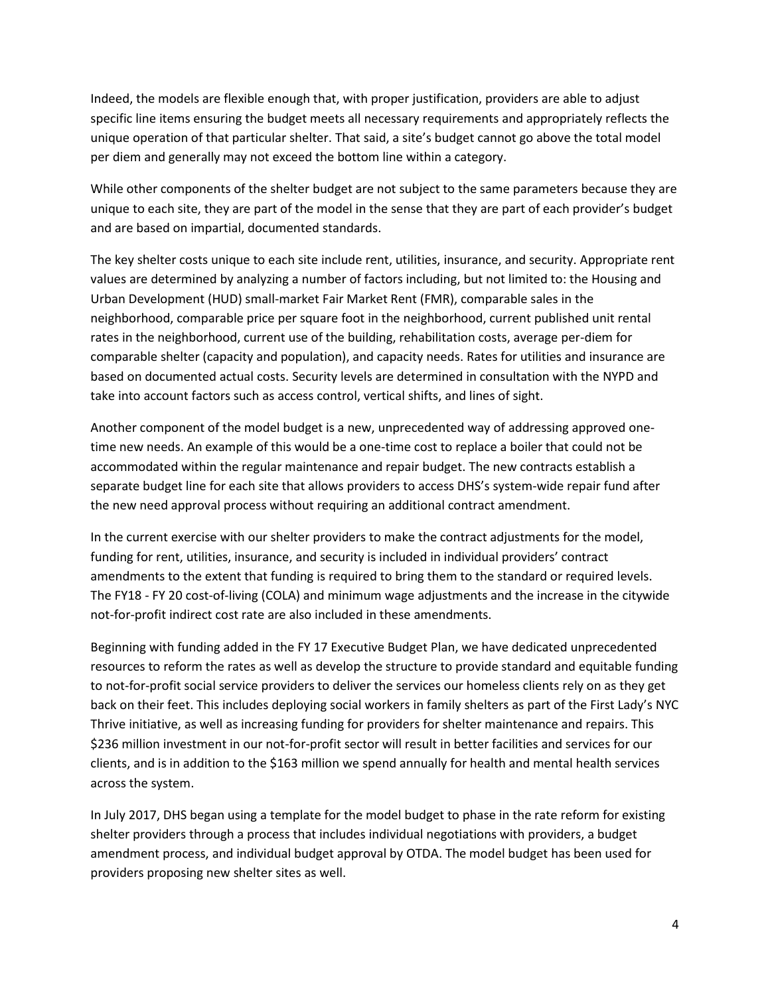Indeed, the models are flexible enough that, with proper justification, providers are able to adjust specific line items ensuring the budget meets all necessary requirements and appropriately reflects the unique operation of that particular shelter. That said, a site's budget cannot go above the total model per diem and generally may not exceed the bottom line within a category.

While other components of the shelter budget are not subject to the same parameters because they are unique to each site, they are part of the model in the sense that they are part of each provider's budget and are based on impartial, documented standards.

The key shelter costs unique to each site include rent, utilities, insurance, and security. Appropriate rent values are determined by analyzing a number of factors including, but not limited to: the Housing and Urban Development (HUD) small-market Fair Market Rent (FMR), comparable sales in the neighborhood, comparable price per square foot in the neighborhood, current published unit rental rates in the neighborhood, current use of the building, rehabilitation costs, average per-diem for comparable shelter (capacity and population), and capacity needs. Rates for utilities and insurance are based on documented actual costs. Security levels are determined in consultation with the NYPD and take into account factors such as access control, vertical shifts, and lines of sight.

Another component of the model budget is a new, unprecedented way of addressing approved onetime new needs. An example of this would be a one-time cost to replace a boiler that could not be accommodated within the regular maintenance and repair budget. The new contracts establish a separate budget line for each site that allows providers to access DHS's system-wide repair fund after the new need approval process without requiring an additional contract amendment.

In the current exercise with our shelter providers to make the contract adjustments for the model, funding for rent, utilities, insurance, and security is included in individual providers' contract amendments to the extent that funding is required to bring them to the standard or required levels. The FY18 - FY 20 cost-of-living (COLA) and minimum wage adjustments and the increase in the citywide not-for-profit indirect cost rate are also included in these amendments.

Beginning with funding added in the FY 17 Executive Budget Plan, we have dedicated unprecedented resources to reform the rates as well as develop the structure to provide standard and equitable funding to not-for-profit social service providers to deliver the services our homeless clients rely on as they get back on their feet. This includes deploying social workers in family shelters as part of the First Lady's NYC Thrive initiative, as well as increasing funding for providers for shelter maintenance and repairs. This \$236 million investment in our not-for-profit sector will result in better facilities and services for our clients, and is in addition to the \$163 million we spend annually for health and mental health services across the system.

In July 2017, DHS began using a template for the model budget to phase in the rate reform for existing shelter providers through a process that includes individual negotiations with providers, a budget amendment process, and individual budget approval by OTDA. The model budget has been used for providers proposing new shelter sites as well.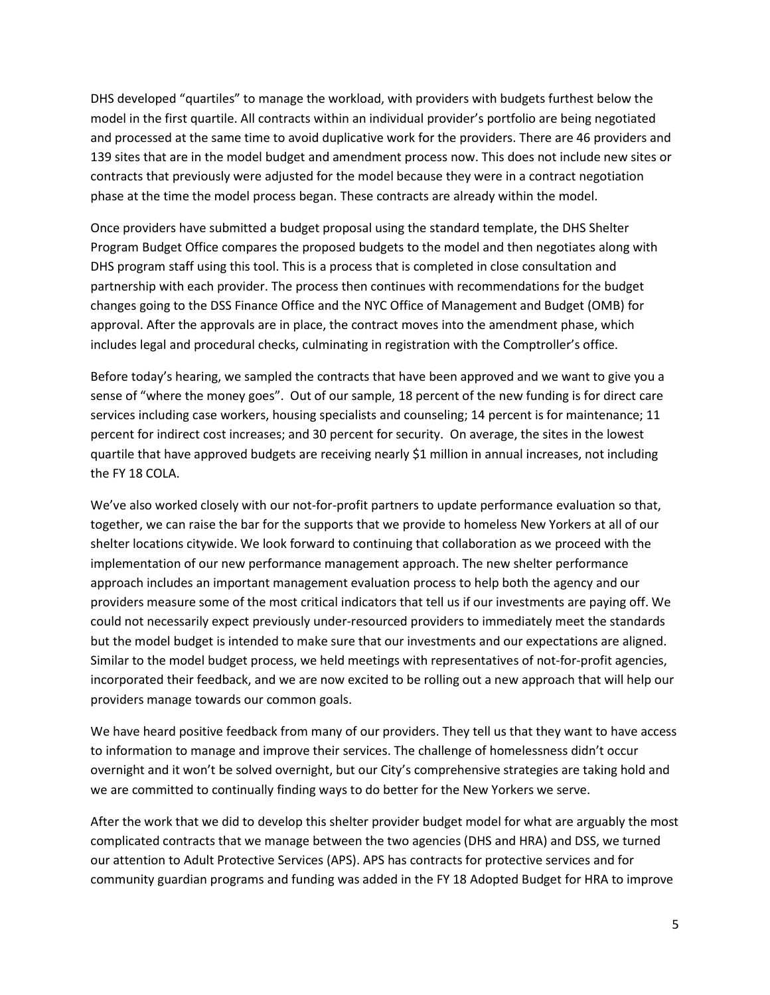DHS developed "quartiles" to manage the workload, with providers with budgets furthest below the model in the first quartile. All contracts within an individual provider's portfolio are being negotiated and processed at the same time to avoid duplicative work for the providers. There are 46 providers and 139 sites that are in the model budget and amendment process now. This does not include new sites or contracts that previously were adjusted for the model because they were in a contract negotiation phase at the time the model process began. These contracts are already within the model.

Once providers have submitted a budget proposal using the standard template, the DHS Shelter Program Budget Office compares the proposed budgets to the model and then negotiates along with DHS program staff using this tool. This is a process that is completed in close consultation and partnership with each provider. The process then continues with recommendations for the budget changes going to the DSS Finance Office and the NYC Office of Management and Budget (OMB) for approval. After the approvals are in place, the contract moves into the amendment phase, which includes legal and procedural checks, culminating in registration with the Comptroller's office.

Before today's hearing, we sampled the contracts that have been approved and we want to give you a sense of "where the money goes". Out of our sample, 18 percent of the new funding is for direct care services including case workers, housing specialists and counseling; 14 percent is for maintenance; 11 percent for indirect cost increases; and 30 percent for security. On average, the sites in the lowest quartile that have approved budgets are receiving nearly \$1 million in annual increases, not including the FY 18 COLA.

We've also worked closely with our not-for-profit partners to update performance evaluation so that, together, we can raise the bar for the supports that we provide to homeless New Yorkers at all of our shelter locations citywide. We look forward to continuing that collaboration as we proceed with the implementation of our new performance management approach. The new shelter performance approach includes an important management evaluation process to help both the agency and our providers measure some of the most critical indicators that tell us if our investments are paying off. We could not necessarily expect previously under-resourced providers to immediately meet the standards but the model budget is intended to make sure that our investments and our expectations are aligned. Similar to the model budget process, we held meetings with representatives of not-for-profit agencies, incorporated their feedback, and we are now excited to be rolling out a new approach that will help our providers manage towards our common goals.

We have heard positive feedback from many of our providers. They tell us that they want to have access to information to manage and improve their services. The challenge of homelessness didn't occur overnight and it won't be solved overnight, but our City's comprehensive strategies are taking hold and we are committed to continually finding ways to do better for the New Yorkers we serve.

After the work that we did to develop this shelter provider budget model for what are arguably the most complicated contracts that we manage between the two agencies (DHS and HRA) and DSS, we turned our attention to Adult Protective Services (APS). APS has contracts for protective services and for community guardian programs and funding was added in the FY 18 Adopted Budget for HRA to improve